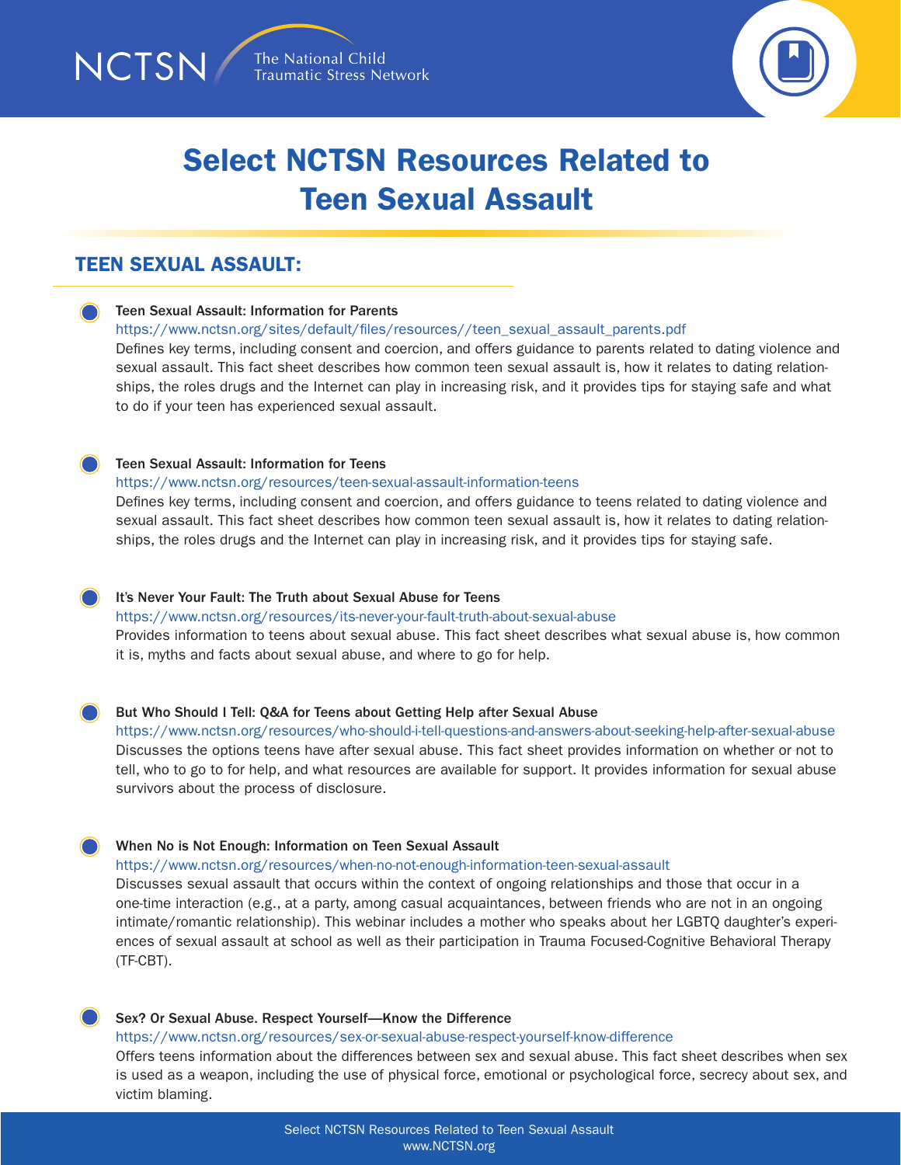



# Select NCTSN Resources Related to Teen Sexual Assault

# TEEN SEXUAL ASSAULT:

#### Teen Sexual Assault: Information for Parents

#### [https://www.nctsn.org/sites/default/files/resources//teen\\_sexual\\_assault\\_parents.pdf](https://www.nctsn.org/sites/default/files/resources//teen_sexual_assault_parents.pdf)

Defines key terms, including consent and coercion, and offers guidance to parents related to dating violence and sexual assault. This fact sheet describes how common teen sexual assault is, how it relates to dating relationships, the roles drugs and the Internet can play in increasing risk, and it provides tips for staying safe and what to do if your teen has experienced sexual assault.

#### Teen Sexual Assault: Information for Teens

#### <https://www.nctsn.org/resources/teen-sexual-assault-information-teens>

Defines key terms, including consent and coercion, and offers guidance to teens related to dating violence and sexual assault. This fact sheet describes how common teen sexual assault is, how it relates to dating relationships, the roles drugs and the Internet can play in increasing risk, and it provides tips for staying safe.

#### It's Never Your Fault: The Truth about Sexual Abuse for Teens

<https://www.nctsn.org/resources/its-never-your-fault-truth-about-sexual-abuse>

Provides information to teens about sexual abuse. This fact sheet describes what sexual abuse is, how common it is, myths and facts about sexual abuse, and where to go for help.

#### But Who Should I Tell: Q&A for Teens about Getting Help after Sexual Abuse

<https://www.nctsn.org/resources/who-should-i-tell-questions-and-answers-about-seeking-help-after-sexual-abuse> Discusses the options teens have after sexual abuse. This fact sheet provides information on whether or not to tell, who to go to for help, and what resources are available for support. It provides information for sexual abuse survivors about the process of disclosure.

#### When No is Not Enough: Information on Teen Sexual Assault

<https://www.nctsn.org/resources/when-no-not-enough-information-teen-sexual-assault>

Discusses sexual assault that occurs within the context of ongoing relationships and those that occur in a one-time interaction (e.g., at a party, among casual acquaintances, between friends who are not in an ongoing intimate/romantic relationship). This webinar includes a mother who speaks about her LGBTQ daughter's experiences of sexual assault at school as well as their participation in Trauma Focused-Cognitive Behavioral Therapy (TF-CBT).

### Sex? Or Sexual Abuse. Respect Yourself—Know the Difference

<https://www.nctsn.org/resources/sex-or-sexual-abuse-respect-yourself-know-difference>

Offers teens information about the differences between sex and sexual abuse. This fact sheet describes when sex is used as a weapon, including the use of physical force, emotional or psychological force, secrecy about sex, and victim blaming.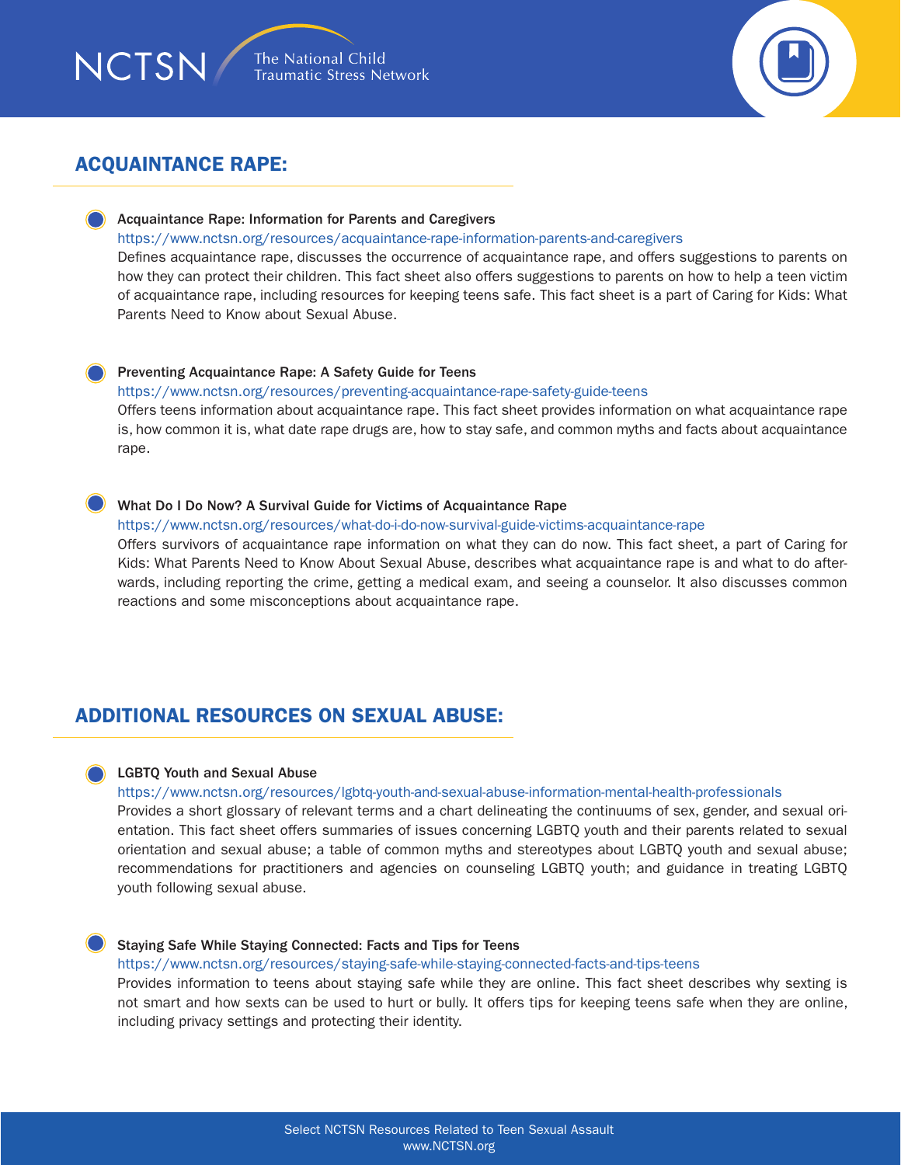# ACQUAINTANCE RAPE:

**NCTSN** 

### Acquaintance Rape: Information for Parents and Caregivers

#### <https://www.nctsn.org/resources/acquaintance-rape-information-parents-and-caregivers>

Defines acquaintance rape, discusses the occurrence of acquaintance rape, and offers suggestions to parents on how they can protect their children. This fact sheet also offers suggestions to parents on how to help a teen victim of acquaintance rape, including resources for keeping teens safe. This fact sheet is a part of Caring for Kids: What Parents Need to Know about Sexual Abuse.

#### Preventing Acquaintance Rape: A Safety Guide for Teens

#### <https://www.nctsn.org/resources/preventing-acquaintance-rape-safety-guide-teens>

Offers teens information about acquaintance rape. This fact sheet provides information on what acquaintance rape is, how common it is, what date rape drugs are, how to stay safe, and common myths and facts about acquaintance rape.

#### What Do I Do Now? A Survival Guide for Victims of Acquaintance Rape

#### <https://www.nctsn.org/resources/what-do-i-do-now-survival-guide-victims-acquaintance-rape>

Offers survivors of acquaintance rape information on what they can do now. This fact sheet, a part of Caring for Kids: What Parents Need to Know About Sexual Abuse, describes what acquaintance rape is and what to do afterwards, including reporting the crime, getting a medical exam, and seeing a counselor. It also discusses common reactions and some misconceptions about acquaintance rape.

### ADDITIONAL RESOURCES ON SEXUAL ABUSE:

#### LGBTQ Youth and Sexual Abuse

#### <https://www.nctsn.org/resources/lgbtq-youth-and-sexual-abuse-information-mental-health-professionals>

Provides a short glossary of relevant terms and a chart delineating the continuums of sex, gender, and sexual orientation. This fact sheet offers summaries of issues concerning LGBTQ youth and their parents related to sexual orientation and sexual abuse; a table of common myths and stereotypes about LGBTQ youth and sexual abuse; recommendations for practitioners and agencies on counseling LGBTQ youth; and guidance in treating LGBTQ youth following sexual abuse.

#### Staying Safe While Staying Connected: Facts and Tips for Teens

#### <https://www.nctsn.org/resources/staying-safe-while-staying-connected-facts-and-tips-teens>

Provides information to teens about staying safe while they are online. This fact sheet describes why sexting is not smart and how sexts can be used to hurt or bully. It offers tips for keeping teens safe when they are online, including privacy settings and protecting their identity.